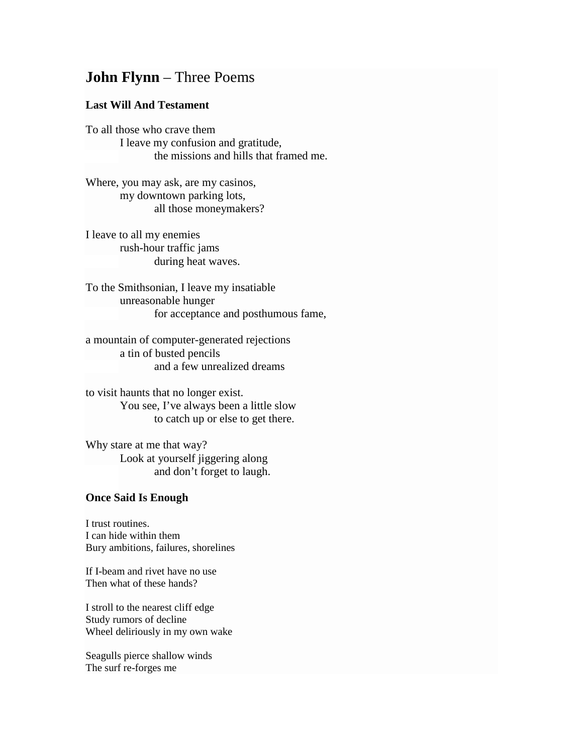## **John Flynn** – Three Poems

## **Last Will And Testament**

To all those who crave them I leave my confusion and gratitude, the missions and hills that framed me.

Where, you may ask, are my casinos, my downtown parking lots, all those moneymakers?

I leave to all my enemies rush-hour traffic jams during heat waves.

To the Smithsonian, I leave my insatiable unreasonable hunger for acceptance and posthumous fame,

a mountain of computer-generated rejections a tin of busted pencils and a few unrealized dreams

to visit haunts that no longer exist. You see, I've always been a little slow to catch up or else to get there.

Why stare at me that way? Look at yourself jiggering along and don't forget to laugh.

## **Once Said Is Enough**

I trust routines. I can hide within them Bury ambitions, failures, shorelines

If I-beam and rivet have no use Then what of these hands?

I stroll to the nearest cliff edge Study rumors of decline Wheel deliriously in my own wake

Seagulls pierce shallow winds The surf re-forges me